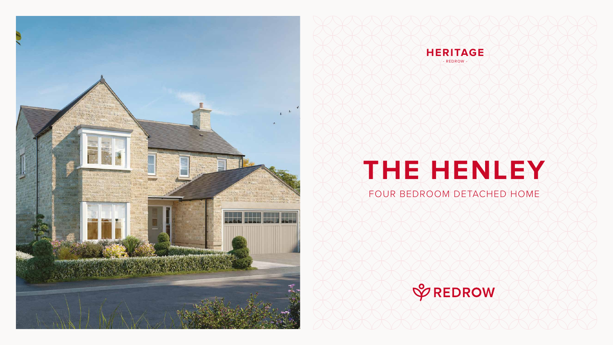FOUR BEDROOM DETACHED HOME









## **THE HENLEY**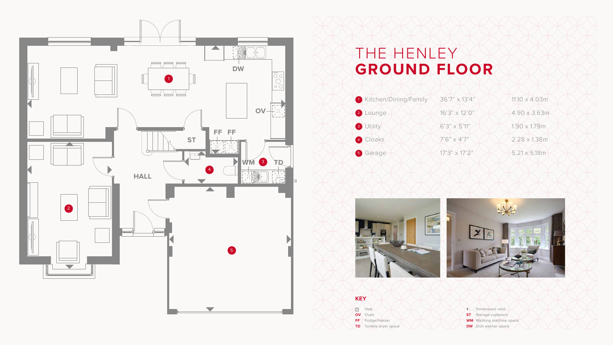## THE HENLEY **GROUND FLOOR**



- 
- 
- 
- 





## **KEY**

**BOO** Hob **OV** Oven FF Fridge/freezer

**TD** Tumble dryer space

Dimensions start **ST** Storage cupboard **WM** Washing machine space **DW** Dish washer space